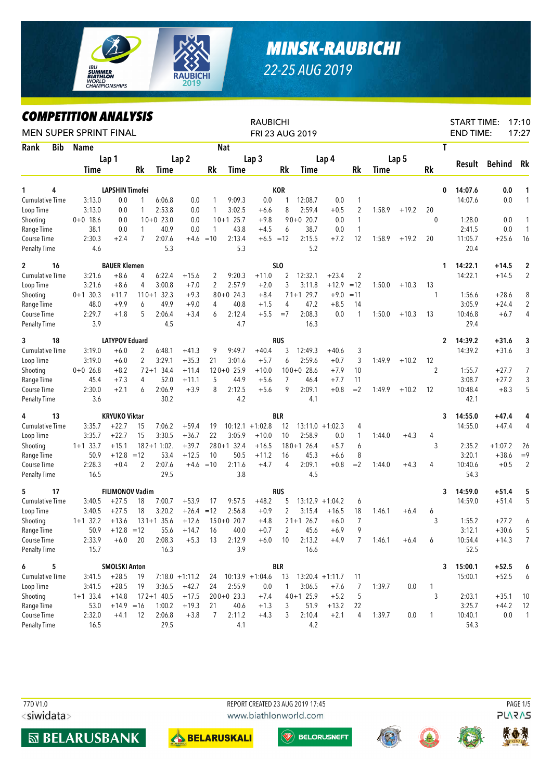

## *MINSK-RAUBICHI 22-25 AUG 2019*

## *COMPETITION ANALYSIS*

| LUMPEIIIIUN ANALYƏIƏ<br><b>MEN SUPER SPRINT FINAL</b> |                    |                         |                         |                         |                          |             |                        | <b>RAUBICHI</b>    |                | FRI 23 AUG 2019        |                    |                     |             |         |                   | <b>START TIME:</b><br><b>END TIME:</b> |                    | 17:10<br>17:27         |
|-------------------------------------------------------|--------------------|-------------------------|-------------------------|-------------------------|--------------------------|-------------|------------------------|--------------------|----------------|------------------------|--------------------|---------------------|-------------|---------|-------------------|----------------------------------------|--------------------|------------------------|
| <b>Bib</b><br>Rank                                    | <b>Name</b>        |                         |                         |                         |                          |             | <b>Nat</b>             |                    |                |                        |                    |                     |             |         |                   | T                                      |                    |                        |
|                                                       |                    | Lap 1                   |                         |                         | Lap <sub>2</sub>         |             |                        | Lap <sub>3</sub>   |                |                        | Lap 4              |                     |             | Lap 5   |                   |                                        |                    |                        |
|                                                       | Time               |                         | Rk                      | Time                    |                          | Rk          | Time                   |                    | Rk             | Time                   |                    | Rk                  | <b>Time</b> |         | <b>Rk</b>         | Result                                 | <b>Behind</b>      | Rk                     |
| 4<br>1                                                |                    | LAPSHIN Timofei         |                         |                         |                          |             |                        |                    | <b>KOR</b>     |                        |                    |                     |             |         |                   | 14:07.6<br>0                           | 0.0                | 1                      |
| <b>Cumulative Time</b>                                | 3:13.0             | 0.0                     | 1                       | 6:06.8                  | 0.0                      | 1           | 9:09.3                 | 0.0                | 1              | 12:08.7                | 0.0                | 1                   |             |         |                   | 14:07.6                                | 0.0                | $\mathbf{1}$           |
| Loop Time                                             | 3:13.0             | 0.0                     | $\mathbf{1}$            | 2:53.8                  | 0.0                      | 1           | 3:02.5                 | $+6.6$             | 8              | 2:59.4                 | $+0.5$             | $\overline{2}$      | 1:58.9      | $+19.2$ | 20                |                                        |                    |                        |
| Shooting                                              | $0+0$ 18.6         | 0.0                     |                         | $10+0$ 23.0             | 0.0                      |             | $10+1$ 25.7            | $+9.8$             |                | $90+0$ 20.7            | 0.0                | $\mathbf{1}$        |             |         | $\mathbf{0}$      | 1:28.0                                 | 0.0                | 1                      |
| Range Time                                            | 38.1               | 0.0                     | 1                       | 40.9                    | 0.0                      | 1           | 43.8                   | $+4.5$             | 6              | 38.7                   | 0.0                | $\mathbf{1}$        |             |         |                   | 2:41.5                                 | 0.0                | $\mathbf{1}$           |
| Course Time                                           | 2:30.3             | $+2.4$                  | $\overline{7}$          | 2:07.6                  |                          | $+4.6 = 10$ | 2:13.4                 | $+6.5 = 12$        |                | 2:15.5                 | $+7.2$             | 12                  | 1:58.9      | $+19.2$ | 20                | 11:05.7                                | $+25.6$            | 16                     |
| <b>Penalty Time</b>                                   | 4.6                |                         |                         | 5.3                     |                          |             | 5.3                    |                    |                | 5.2                    |                    |                     |             |         |                   | 20.4                                   |                    |                        |
| $\mathbf{2}$<br>16                                    |                    | <b>BAUER Klemen</b>     |                         |                         |                          |             |                        |                    | <b>SLO</b>     |                        |                    |                     |             |         |                   | 14:22.1<br>1.                          | $+14.5$            | 2                      |
| <b>Cumulative Time</b>                                | 3:21.6             | $+8.6$                  | 4                       | 6:22.4                  | $+15.6$                  | 2           | 9:20.3                 | $+11.0$            | 2              | 12:32.1                | $+23.4$            | $\overline{2}$      |             |         |                   | 14:22.1                                | $+14.5$            | $\overline{2}$         |
| Loop Time                                             | 3:21.6             | $+8.6$                  | 4                       | 3:00.8                  | $+7.0$                   | 2           | 2:57.9                 | $+2.0$             | 3              | 3:11.8                 | $+12.9$            | $=12$               | 1:50.0      | $+10.3$ | 13                |                                        |                    |                        |
| Shooting                                              | $0+1$ 30.3         | $+11.7$                 |                         | $110+1$ 32.3            | $+9.3$                   |             | $80+0$ 24.3            | $+8.4$             |                | $71+1$ 29.7            | $+9.0$             | $=11$               |             |         | 1                 | 1:56.6                                 | $+28.6$            | 8                      |
| Range Time                                            | 48.0               | $+9.9$                  | 6                       | 49.9                    | $+9.0$                   | 4           | 40.8                   | $+1.5$             | 4              | 47.2                   | $+8.5$             | 14                  |             |         |                   | 3:05.9                                 | $+24.4$            | $\overline{2}$         |
| Course Time                                           | 2:29.7             | $+1.8$                  | 5                       | 2:06.4                  | $+3.4$                   | 6           | 2:12.4                 | $+5.5$             | $=7$           | 2:08.3                 | 0.0                | $\mathbf{1}$        | 1:50.0      | $+10.3$ | 13                | 10:46.8                                | $+6.7$             | 4                      |
| <b>Penalty Time</b>                                   | 3.9                |                         |                         | 4.5                     |                          |             | 4.7                    |                    |                | 16.3                   |                    |                     |             |         |                   | 29.4                                   |                    |                        |
| 18<br>3                                               |                    | <b>LATYPOV Eduard</b>   |                         |                         |                          |             |                        |                    | <b>RUS</b>     |                        |                    |                     |             |         |                   | 14:39.2<br>2                           | $+31.6$            | 3                      |
| <b>Cumulative Time</b>                                | 3:19.0             | $+6.0$                  | 2                       | 6:48.1                  | $+41.3$                  | 9           | 9:49.7                 | $+40.4$            | 3              | 12:49.3                | $+40.6$            | 3                   |             |         |                   | 14:39.2                                | $+31.6$            | 3                      |
| Loop Time                                             | 3:19.0             | $+6.0$                  | 2                       | 3:29.1                  | $+35.3$                  | 21          | 3:01.6                 | $+5.7$             | 6              | 2:59.6                 | $+0.7$             | 3                   | 1:49.9      | $+10.2$ | 12                |                                        |                    |                        |
| Shooting                                              | $0+0$ 26.8         | $+8.2$                  |                         | $72 + 134.4$            | $+11.4$                  |             | $120+0$ 25.9           | $+10.0$            |                | $100+0$ 28.6           | $+7.9$             | 10                  |             |         | $\overline{2}$    | 1:55.7                                 | $+27.7$            | 7                      |
| Range Time                                            | 45.4               | $+7.3$                  | 4                       | 52.0                    | $+11.1$                  | 5           | 44.9                   | $+5.6$             | $\overline{7}$ | 46.4                   | $+7.7$             | 11                  |             |         |                   | 3:08.7                                 | $+27.2$            | 3                      |
| Course Time                                           | 2:30.0             | $+2.1$                  | 6                       | 2:06.9                  | $+3.9$                   | 8           | 2:12.5                 | $+5.6$             | 9              | 2:09.1                 | $+0.8$             | $=2$                | 1:49.9      | $+10.2$ | 12                | 10:48.4                                | $+8.3$             | 5                      |
| <b>Penalty Time</b>                                   | 3.6                |                         |                         | 30.2                    |                          |             | 4.2                    |                    |                | 4.1                    |                    |                     |             |         |                   | 42.1                                   |                    |                        |
| 13<br>4                                               |                    | <b>KRYUKO Viktar</b>    |                         |                         |                          |             |                        |                    | <b>BLR</b>     |                        |                    |                     |             |         |                   | 14:55.0<br>3                           | $+47.4$            | 4                      |
| Cumulative Time                                       | 3:35.7             | $+22.7$                 | 15                      | 7:06.2                  | $+59.4$                  | 19          |                        | $10:12.1 + 1:02.8$ | 12             |                        | $13:11.0 + 1:02.3$ | 4                   |             |         |                   | 14:55.0                                | $+47.4$            | 4                      |
| Loop Time                                             | 3:35.7             | $+22.7$                 | 15                      | 3:30.5                  | $+36.7$                  | 22          | 3:05.9                 | $+10.0$            | 10             | 2:58.9                 | 0.0                | 1                   | 1:44.0      | $+4.3$  | 4                 |                                        |                    |                        |
| Shooting                                              | $1+1$ 33.7         | $+15.1$                 |                         | $182 + 11:02$ .         | $+39.7$                  |             | $280+1$ 32.4           | $+16.5$            |                | $180+1$ 26.4           | $+5.7$             | 6                   |             |         | 3                 | 2:35.2                                 | $+1:07.2$          | 26                     |
| Range Time                                            | 50.9               | $+12.8$                 | $=12$<br>$\overline{2}$ | 53.4<br>2:07.6          | $+12.5$                  | 10          | 50.5                   | $+11.2$            | 16<br>4        | 45.3<br>2:09.1         | $+6.6$             | 8                   |             |         |                   | 3:20.1                                 | $+38.6$            | $=9$<br>$\overline{2}$ |
| Course Time                                           | 2:28.3             | $+0.4$                  |                         | 29.5                    |                          | $+4.6 = 10$ | 2:11.6<br>3.8          | $+4.7$             |                |                        | $+0.8$             | $=2$                | 1:44.0      | $+4.3$  | 4                 | 10:40.6<br>54.3                        | $+0.5$             |                        |
| Penalty Time                                          | 16.5               |                         |                         |                         |                          |             |                        |                    |                | 4.5                    |                    |                     |             |         |                   |                                        |                    |                        |
| 5<br>17                                               |                    | <b>FILIMONOV Vadim</b>  |                         |                         |                          |             |                        |                    | <b>RUS</b>     |                        |                    |                     |             |         |                   | 14:59.0<br>3                           | $+51.4$            | 5                      |
| Cumulative Time                                       | 3:40.5             | $+27.5$                 | 18                      | 7:00.7                  | $+53.9$                  | 17          | 9:57.5                 | $+48.2$            | 5              |                        | $13:12.9 + 1:04.2$ | 6                   |             |         |                   | 14:59.0                                | $+51.4$            | 5                      |
| Loop Time                                             | 3:40.5             | $+27.5$                 | 18                      | 3:20.2                  | $+26.4 = 12$             |             | 2:56.8                 | $+0.9$             | 2              | 3:15.4                 | $+16.5$            | 18                  | 1:46.1      | $+6.4$  | 6                 |                                        |                    |                        |
| Shooting                                              | $1+1$ 32.2         | $+13.6$<br>$+12.8 = 12$ |                         | $131+1$ 35.6            | $+12.6$<br>$55.6 + 14.7$ |             | $150+0$ 20.7           | $+4.8$<br>$+0.7$   | 2              | $21+1$ 26.7            | $+6.0$<br>$+6.9$   | $\overline{7}$<br>9 |             |         | 3                 | 1:55.2                                 | $+27.2$            | 6<br>5                 |
| Range Time<br>Course Time                             | 50.9<br>2:33.9     | $+6.0$                  | 20                      | 2:08.3                  | $+5.3$                   | - 16<br>13  | 40.0<br>2:12.9         | $+6.0$             | 10             | 45.6<br>2:13.2         | $+4.9$             | 7                   | 1:46.1      | $+6.4$  | 6                 | 3:12.1<br>10:54.4                      | $+30.6$<br>$+14.3$ | 7                      |
| <b>Penalty Time</b>                                   | 15.7               |                         |                         | 16.3                    |                          |             | 3.9                    |                    |                | 16.6                   |                    |                     |             |         |                   | 52.5                                   |                    |                        |
|                                                       |                    |                         |                         |                         |                          |             |                        |                    |                |                        |                    |                     |             |         |                   |                                        |                    |                        |
| 6<br>5                                                |                    | <b>SMOLSKI Anton</b>    |                         |                         |                          |             |                        |                    | <b>BLR</b>     |                        |                    |                     |             |         |                   | 15:00.1<br>3                           | $+52.5$            | 6                      |
| Cumulative Time                                       | 3:41.5             | $+28.5$                 | 19                      |                         | $7:18.0 + 1:11.2$        | 24          |                        | $10:13.9 + 1:04.6$ | 13             |                        | $13:20.4 +1:11.7$  | 11                  |             |         |                   | 15:00.1                                | $+52.5$            | 6                      |
| Loop Time<br>Shooting                                 | 3:41.5             | $+28.5$<br>$+14.8$      | 19                      | 3:36.5                  | $+42.7$<br>$+17.5$       | 24          | 2:55.9<br>$200+0$ 23.3 | 0.0                | 1              | 3:06.5<br>$40 + 125.9$ | $+7.6$<br>$+5.2$   | 7<br>5              | 1:39.7      | 0.0     | $\mathbf{1}$<br>3 | 2:03.1                                 | $+35.1$            |                        |
| Range Time                                            | $1+1$ 33.4<br>53.0 | $+14.9 = 16$            |                         | $172 + 140.5$<br>1:00.2 | $+19.3$                  | 21          | 40.6                   | $+7.4$<br>$+1.3$   | 3              | 51.9                   | $+13.2$            | 22                  |             |         |                   | 3:25.7                                 | $+44.2$            | 10<br>12               |
| Course Time                                           | 2:32.0             | $+4.1$                  | 12                      | 2:06.8                  | $+3.8$                   | 7           | 2:11.2                 | $+4.3$             | 3              | 2:10.4                 | $+2.1$             | 4                   | 1:39.7      | 0.0     | $\overline{1}$    | 10:40.1                                | 0.0                | $\overline{1}$         |
| <b>Penalty Time</b>                                   | 16.5               |                         |                         | 29.5                    |                          |             | 4.1                    |                    |                | 4.2                    |                    |                     |             |         |                   | 54.3                                   |                    |                        |

<siwidata>









 $\left(\begin{matrix} \mathbb{W} & \mathbb{B}\end{matrix}\right)$  belorusneft





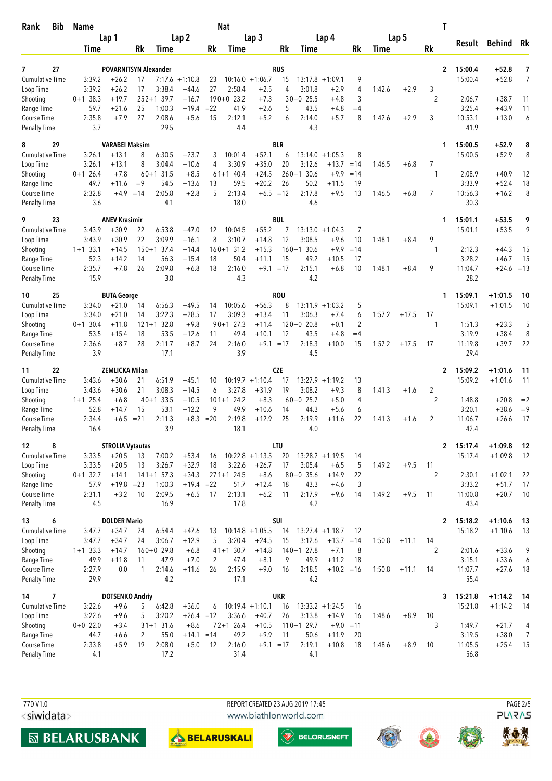| <b>Bib</b><br>Rank                  | Name                 |                              |          |                        |                         |          | <b>Nat</b>             |                               |            |                             |                               |                     |        |         | Τ              |                  |                    |                |
|-------------------------------------|----------------------|------------------------------|----------|------------------------|-------------------------|----------|------------------------|-------------------------------|------------|-----------------------------|-------------------------------|---------------------|--------|---------|----------------|------------------|--------------------|----------------|
|                                     |                      | Lap 1                        |          |                        | Lap <sub>2</sub>        |          |                        | Lap <sub>3</sub>              |            |                             | Lap 4                         |                     |        | Lap 5   |                | Result           | Behind Rk          |                |
|                                     | Time                 |                              | Rk       | Time                   |                         | Rk       | Time                   |                               | Rk         | Time                        |                               | Rk                  | Time   |         | Rk             |                  |                    |                |
| 27<br>7                             |                      | <b>POVARNITSYN Alexander</b> |          |                        |                         |          |                        |                               | <b>RUS</b> |                             |                               |                     |        |         | $\overline{2}$ | 15:00.4          | $+52.8$            | 7              |
| <b>Cumulative Time</b>              | 3:39.2               | $+26.2$                      | 17       |                        | $7:17.6 + 1:10.8$       | 23       |                        | $10:16.0 + 1:06.7$            | 15         | $13:17.8 + 1:09.1$          |                               | 9                   |        |         |                | 15:00.4          | $+52.8$            | $\overline{7}$ |
| Loop Time                           | 3:39.2               | $+26.2$                      | 17       | 3:38.4                 | $+44.6$                 | 27       | 2:58.4                 | $+2.5$                        | 4          | 3:01.8                      | $+2.9$                        | 4                   | 1:42.6 | $+2.9$  | 3              |                  |                    |                |
| Shooting                            | $0+1$ 38.3<br>59.7   | $+19.7$<br>$+21.6$           | 25       | $252+139.7$<br>1:00.3  | $+16.7$<br>$+19.4$      | $= 22$   | $190+0$ 23.2<br>41.9   | $+7.3$<br>$+2.6$              |            | $30+0$ 25.5<br>43.5         | $+4.8$                        | 3<br>$=4$           |        |         | $\overline{2}$ | 2:06.7<br>3:25.4 | $+38.7$<br>$+43.9$ | 11<br>11       |
| Range Time<br>Course Time           | 2:35.8               | $+7.9$                       | 27       | 2:08.6                 | $+5.6$                  | 15       | 2:12.1                 | $+5.2$                        | 5<br>6     | 2:14.0                      | $+4.8$<br>$+5.7$              | 8                   | 1:42.6 | $+2.9$  | 3              | 10:53.1          | $+13.0$            | 6              |
| <b>Penalty Time</b>                 | 3.7                  |                              |          | 29.5                   |                         |          | 4.4                    |                               |            | 4.3                         |                               |                     |        |         |                | 41.9             |                    |                |
| 29<br>8                             |                      | <b>VARABEI Maksim</b>        |          |                        |                         |          |                        |                               | <b>BLR</b> |                             |                               |                     |        |         | 1              | 15:00.5          | $+52.9$            | 8              |
| <b>Cumulative Time</b>              | 3:26.1               | $+13.1$                      | 8        | 6:30.5                 | $+23.7$                 | 3        | 10:01.4                | $+52.1$                       | 6          | $13:14.0 + 1:05.3$          |                               | 8                   |        |         |                | 15:00.5          | $+52.9$            | 8              |
| Loop Time                           | 3:26.1               | $+13.1$                      | 8        | 3:04.4                 | $+10.6$                 | 4        | 3:30.9                 | $+35.0$                       | 20         | 3:12.6                      | $+13.7$                       | $=14$               | 1:46.5 | $+6.8$  | 7              |                  |                    |                |
| Shooting<br>Range Time              | $0+1$ 26.4<br>49.7   | $+7.8$<br>$+11.6$            | $=9$     | $60+1$ 31.5<br>54.5    | $+8.5$<br>$+13.6$       | 13       | $61+1$ 40.4<br>59.5    | $+24.5$<br>$+20.2$            | 26         | $260+1$ 30.6<br>50.2        | $+9.9$<br>$+11.5$             | $=14$<br>19         |        |         | 1              | 2:08.9<br>3:33.9 | $+40.9$<br>$+52.4$ | 12<br>18       |
| Course Time                         | 2:32.8               | $+4.9$                       | $=14$    | 2:05.8                 | $+2.8$                  | 5        | 2:13.4                 | $+6.5 = 12$                   |            | 2:17.8                      | $+9.5$                        | 13                  | 1:46.5 | $+6.8$  | $\overline{7}$ | 10:56.3          | $+16.2$            | 8              |
| Penalty Time                        | 3.6                  |                              |          | 4.1                    |                         |          | 18.0                   |                               |            | 4.6                         |                               |                     |        |         |                | 30.3             |                    |                |
| 9<br>23                             |                      | <b>ANEV Krasimir</b>         |          |                        |                         |          |                        |                               | <b>BUL</b> |                             |                               |                     |        |         | 1              | 15:01.1          | $+53.5$            | 9              |
| <b>Cumulative Time</b>              | 3:43.9               | $+30.9$                      | 22       | 6:53.8                 | $+47.0$                 | 12       | 10:04.5                | $+55.2$                       | 7          |                             | $13:13.0 + 1:04.3$            | 7                   |        |         |                | 15:01.1          | $+53.5$            | 9              |
| Loop Time<br>Shooting               | 3:43.9<br>$1+1$ 33.1 | $+30.9$<br>$+14.5$           | 22       | 3:09.9<br>$150+1$ 37.4 | $+16.1$<br>$+14.4$      | 8        | 3:10.7<br>$160+1$ 31.2 | $+14.8$<br>$+15.3$            | 12         | 3:08.5<br>$160+1$ 30.6      | $+9.6$<br>$+9.9$              | 10<br>$=14$         | 1:48.1 | $+8.4$  | 9<br>-1        | 2:12.3           | $+44.3$            | 15             |
| Range Time                          | 52.3                 | $+14.2$                      | 14       | 56.3                   | $+15.4$                 | 18       | 50.4                   | $+11.1$                       | 15         | 49.2                        | $+10.5$                       | 17                  |        |         |                | 3:28.2           | $+46.7$            | 15             |
| Course Time                         | 2:35.7               | $+7.8$                       | 26       | 2:09.8                 | $+6.8$                  | 18       | 2:16.0                 | $+9.1 = 17$                   |            | 2:15.1                      | $+6.8$                        | 10                  | 1:48.1 | $+8.4$  | 9              | 11:04.7          | $+24.6 = 13$       |                |
| Penalty Time                        | 15.9                 |                              |          | 3.8                    |                         |          | 4.3                    |                               |            | 4.2                         |                               |                     |        |         |                | 28.2             |                    |                |
| 25<br>10                            |                      | <b>BUTA George</b>           |          |                        |                         |          |                        |                               | <b>ROU</b> |                             |                               |                     |        |         | 1              | 15:09.1          | $+1:01.5$          | 10             |
| <b>Cumulative Time</b>              | 3:34.0               | $+21.0$                      | 14       | 6:56.3                 | $+49.5$                 | 14       | 10:05.6                | $+56.3$                       | 8          |                             | $13:11.9 + 1:03.2$            | 5                   |        |         |                | 15:09.1          | $+1:01.5$          | 10             |
| Loop Time<br>Shooting               | 3:34.0<br>$0+1$ 30.4 | $+21.0$<br>$+11.8$           | 14       | 3:22.3<br>$121+1$ 32.8 | $+28.5$<br>$+9.8$       | 17       | 3:09.3<br>$90+1$ 27.3  | $+13.4$<br>$+11.4$            | 11         | 3:06.3<br>$120+0$ 20.8      | $+7.4$<br>$+0.1$              | 6<br>$\overline{2}$ | 1:57.2 | $+17.5$ | 17<br>1        | 1:51.3           | $+23.3$            | 5              |
| Range Time                          | 53.5                 | $+15.4$                      | 18       | 53.5                   | $+12.6$                 | 11       | 49.4                   | $+10.1$                       | 12         | 43.5                        | $+4.8$                        | $=4$                |        |         |                | 3:19.9           | $+38.4$            | 8              |
| Course Time                         | 2:36.6               | $+8.7$                       | 28       | 2:11.7                 | $+8.7$                  | 24       | 2:16.0                 | $+9.1 = 17$                   |            | 2:18.3                      | $+10.0$                       | 15                  | 1:57.2 | $+17.5$ | 17             | 11:19.8          | $+39.7$            | 22             |
| <b>Penalty Time</b>                 | 3.9                  |                              |          | 17.1                   |                         |          | 3.9                    |                               |            | 4.5                         |                               |                     |        |         |                | 29.4             |                    |                |
| 22<br>11                            |                      | <b>ZEMLICKA Milan</b>        |          |                        |                         |          |                        |                               | <b>CZE</b> |                             |                               |                     |        |         | $\mathbf{2}$   | 15:09.2          | $+1:01.6$          | 11             |
| <b>Cumulative Time</b><br>Loop Time | 3:43.6<br>3:43.6     | $+30.6$<br>$+30.6$           | 21<br>21 | 6:51.9<br>3:08.3       | $+45.1$<br>$+14.5$      | 10<br>6  | 3:27.8                 | $10:19.7 + 1:10.4$<br>$+31.9$ | 17<br>19   | 3:08.2                      | $13:27.9 +1:19.2$<br>$+9.3$   | 13<br>8             | 1:41.3 | $+1.6$  | $\overline{2}$ | 15:09.2          | $+1:01.6$          | 11             |
| Shooting                            | $1+1$ 25.4           | $+6.8$                       |          | $40+1$ 33.5            | $+10.5$                 |          | $101+1$ 24.2           | $+8.3$                        |            | $60+0$ 25.7                 | $+5.0$                        | 4                   |        |         | 2              | 1:48.8           | $+20.8$            | $=2$           |
| Range Time                          | 52.8                 | $+14.7$                      | 15       | 53.1                   | $+12.2$                 | 9        | 49.9                   | $+10.6$                       | 14         | 44.3                        | $+5.6$                        | 6                   |        |         |                | 3:20.1           | $+38.6$            | $=9$           |
| Course Time                         | 2:34.4               | $+6.5$                       | $= 21$   | 2:11.3                 | $+8.3$                  | $=20$    | 2:19.8                 | $+12.9$                       | 25         | 2:19.9                      | $+11.6$                       | 22                  | 1:41.3 | $+1.6$  | 2              | 11:06.7          | $+26.6$            | 17             |
| <b>Penalty Time</b>                 | 16.4                 |                              |          | 3.9                    |                         |          | 18.1                   |                               |            | 4.0                         |                               |                     |        |         |                | 42.4             |                    |                |
| 8<br>12                             |                      | <b>STROLIA Vytautas</b>      |          |                        |                         |          |                        |                               | <b>LTU</b> |                             |                               |                     |        |         |                | 2 15:17.4        | $+1:09.8$          | - 12           |
| Cumulative Time<br>Loop Time        | 3:33.5<br>3:33.5     | $+20.5$<br>$+20.5$           | 13<br>13 | 7:00.2<br>3:26.7       | $+53.4$<br>$+32.9$      | 16<br>18 | 3:22.6                 | $10:22.8 + 1:13.5$<br>$+26.7$ | 20<br>17   | 3:05.4                      | $13:28.2 +1:19.5$<br>$+6.5$   | 14<br>5             | 1:49.2 | $+9.5$  | 11             | 15:17.4          | $+1:09.8$          | 12             |
| Shooting                            | $0+1$ 32.7           | $+14.1$                      |          | $141+1$ 57.3           | $+34.3$                 |          | $271+1$ 24.5           | $+8.6$                        |            | $80+0$ 35.6                 | $+14.9$                       | 22                  |        |         | 2              | 2:30.1           | $+1:02.1$          | 22             |
| Range Time                          | 57.9                 | $+19.8 = 23$                 |          | 1:00.3                 | $+19.4 = 22$            |          | 51.7                   | $+12.4$                       | 18         | 43.3                        | $+4.6$                        | 3                   |        |         |                | 3:33.2           | $+51.7$            | 17             |
| Course Time                         | 2:31.1               | $+3.2$                       | 10       | 2:09.5                 | $+6.5$                  | 17       | 2:13.1                 | $+6.2$                        | 11         | 2:17.9                      | $+9.6$                        | 14                  | 1:49.2 | $+9.5$  | -11            | 11:00.8          | $+20.7$            | 10             |
| <b>Penalty Time</b>                 | 4.5                  |                              |          | 16.9                   |                         |          | 17.8                   |                               |            | 4.2                         |                               |                     |        |         |                | 43.4             |                    |                |
| 6<br>13                             |                      | <b>DOLDER Mario</b>          |          |                        |                         |          |                        |                               | SUI        |                             |                               |                     |        |         | $\mathbf{2}$   | 15:18.2          | $+1:10.6$          | -13            |
| <b>Cumulative Time</b><br>Loop Time | 3:47.7<br>3:47.7     | $+34.7$<br>$+34.7$           | 24<br>24 | 6:54.4<br>3:06.7       | $+47.6$<br>$+12.9$      | 13<br>5  | 3:20.4                 | $10:14.8 + 1:05.5$<br>$+24.5$ | 14<br>15   | $13:27.4 +1:18.7$<br>3:12.6 | $+13.7 = 14$                  | 12                  | 1:50.8 | $+11.1$ | 14             | 15:18.2          | $+1:10.6$          | -13            |
| Shooting                            | $1+1$ 33.3           | $+14.7$                      |          | $160+0$ 29.8           | $+6.8$                  |          | $41+1$ 30.7            | $+14.8$                       |            | $140+1$ 27.8                | $+7.1$                        | 8                   |        |         | 2              | 2:01.6           | $+33.6$            | 9              |
| Range Time                          | 49.9                 | $+11.8$                      | 11       | 47.9                   | $+7.0$                  | 2        | 47.4                   | $+8.1$                        | 9          | 49.9                        | $+11.2$                       | 18                  |        |         |                | 3:15.1           | $+33.6$            | 6              |
| Course Time                         | 2:27.9               | 0.0                          | 1        | 2:14.6                 | $+11.6$                 | 26       | 2:15.9                 | $+9.0$                        | 16         | 2:18.5                      | $+10.2 = 16$                  |                     | 1:50.8 | $+11.1$ | 14             | 11:07.7          | $+27.6$            | -18            |
| <b>Penalty Time</b>                 | 29.9                 |                              |          | 4.2                    |                         |          | 17.1                   |                               |            | 4.2                         |                               |                     |        |         |                | 55.4             |                    |                |
| $\overline{ }$<br>14                |                      | <b>DOTSENKO Andriy</b>       |          |                        |                         |          |                        |                               | <b>UKR</b> |                             |                               |                     |        |         | 3              | 15:21.8          | $+1:14.2$          | - 14           |
| <b>Cumulative Time</b><br>Loop Time | 3:22.6<br>3:22.6     | $+9.6$<br>$+9.6$             | 5<br>5   | 6:42.8<br>3:20.2       | $+36.0$<br>$+26.4 = 12$ | 6        | 3:36.6                 | $10:19.4 + 1:10.1$<br>$+40.7$ | 16<br>26   | 3:13.8                      | $13:33.2 + 1:24.5$<br>$+14.9$ | 16<br>16            | 1:48.6 | $+8.9$  | 10             | 15:21.8          | $+1:14.2$          | -14            |
| Shooting                            | $0+0$ 22.0           | $+3.4$                       |          | $31+1$ 31.6            | $+8.6$                  |          | $72 + 126.4$           | $+10.5$                       |            | $110+1$ 29.7                | $+9.0 = 11$                   |                     |        |         | 3              | 1:49.7           | $+21.7$            | 4              |
| Range Time                          | 44.7                 | $+6.6$                       | 2        | 55.0                   | $+14.1 = 14$            |          | 49.2                   | $+9.9$                        | 11         | 50.6                        | $+11.9$                       | 20                  |        |         |                | 3:19.5           | $+38.0$            | $\overline{7}$ |
| Course Time                         | 2:33.8               | $+5.9$                       | 19       | 2:08.0                 | $+5.0$                  | 12       | 2:16.0                 | $+9.1 = 17$                   |            | 2:19.1                      | $+10.8$                       | 18                  | 1:48.6 | $+8.9$  | 10             | 11:05.5          | $+25.4$            | - 15           |
| Penalty Time                        | 4.1                  |                              |          | 17.2                   |                         |          | 31.4                   |                               |            | 4.1                         |                               |                     |        |         |                | 56.8             |                    |                |

<siwidata>

**MBELARUSBANK** 

 77D V1.0 REPORT CREATED 23 AUG 2019 17:45 PAGE 2/5www.biathlonworld.com

BELARUSKALI







稳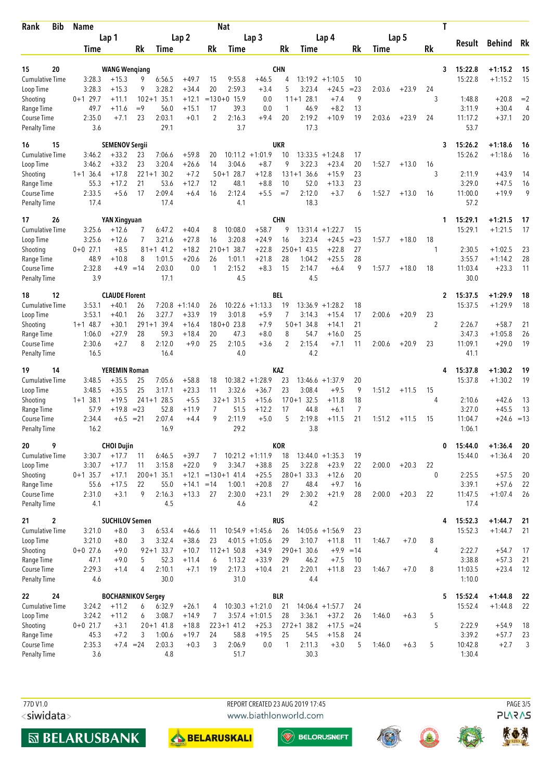| Bib<br>Rank                        | <b>Name</b>          |                                 | <b>Nat</b>       |                        |                    |             |                         |                    |                 |                             | T                  |              |        |         |           |                    |                        |          |
|------------------------------------|----------------------|---------------------------------|------------------|------------------------|--------------------|-------------|-------------------------|--------------------|-----------------|-----------------------------|--------------------|--------------|--------|---------|-----------|--------------------|------------------------|----------|
|                                    |                      | Lap 1                           |                  |                        | Lap <sub>2</sub>   |             |                         | Lap <sub>3</sub>   |                 |                             | Lap 4              |              |        | Lap 5   |           |                    |                        |          |
|                                    | Time                 |                                 | Rk               | Time                   |                    | Rk          | Time                    |                    | Rk              | Time                        |                    | Rk           | Time   |         | <b>Rk</b> | Result             | Behind                 | Rk       |
|                                    |                      |                                 |                  |                        |                    |             |                         |                    |                 |                             |                    |              |        |         |           |                    |                        |          |
| 15<br>20<br><b>Cumulative Time</b> | 3:28.3               | <b>WANG Wengiang</b><br>$+15.3$ | 9                | 6:56.5                 | $+49.7$            | 15          | 9:55.8                  | $+46.5$            | <b>CHN</b><br>4 |                             | $13:19.2 +1:10.5$  | 10           |        |         | 3         | 15:22.8<br>15:22.8 | $+1:15.2$<br>$+1:15.2$ | 15<br>15 |
| Loop Time                          | 3:28.3               | $+15.3$                         | 9                | 3:28.2                 | $+34.4$            | 20          | 2:59.3                  | $+3.4$             | 5               | 3:23.4                      | $+24.5$            | $= 23$       | 2:03.6 | $+23.9$ | 24        |                    |                        |          |
| Shooting                           | $0+1$ 29.7           | $+11.1$                         | $102 + 1$        | 35.1                   | $+12.1$            |             | $=130+0$ 15.9           | 0.0                |                 | $11+1$ 28.1                 | $+7.4$             | 9            |        |         | 3         | 1:48.8             | $+20.8$                | $=2$     |
| Range Time                         | 49.7                 | $+11.6$                         | $=9$             | 56.0                   | $+15.1$            | 17          | 39.3                    | 0.0                | 1               | 46.9                        | $+8.2$             | 13           |        |         |           | 3:11.9             | $+30.4$                | 4        |
| Course Time                        | 2:35.0               | $+7.1$                          | 23               | 2:03.1                 | $+0.1$             | 2           | 2:16.3                  | $+9.4$             | 20              | 2:19.2                      | $+10.9$            | 19           | 2:03.6 | $+23.9$ | 24        | 11:17.2            | $+37.1$                | 20       |
| <b>Penalty Time</b>                | 3.6                  |                                 |                  | 29.1                   |                    |             | 3.7                     |                    |                 | 17.3                        |                    |              |        |         |           | 53.7               |                        |          |
| 15<br>16                           |                      | <b>SEMENOV Sergii</b>           |                  |                        |                    |             |                         |                    | UKR             |                             |                    |              |        |         | 3         | 15:26.2            | $+1:18.6$              | 16       |
| <b>Cumulative Time</b>             | 3:46.2               | $+33.2$                         | 23               | 7:06.6                 | $+59.8$            | 20          |                         | $10:11.2 + 1:01.9$ | 10              | 13:33.5                     | $+1:24.8$          | 17           |        |         |           | 15:26.2            | $+1:18.6$              | -16      |
| Loop Time                          | 3:46.2               | $+33.2$                         | 23               | 3:20.4                 | $+26.6$            | 14          | 3:04.6                  | $+8.7$             | 9               | 3:22.3                      | $+23.4$            | 20           | 1:52.7 | $+13.0$ | 16        |                    |                        |          |
| Shooting<br>Range Time             | $1+1$ 36.4<br>55.3   | $+17.8$<br>$+17.2$              | 21               | $221+1$ 30.2<br>53.6   | $+7.2$<br>$+12.7$  | 12          | $50+1$ 28.7<br>48.1     | $+12.8$<br>$+8.8$  | 10              | $131+136.6$<br>52.0         | $+15.9$<br>$+13.3$ | 23<br>23     |        |         | 3         | 2:11.9<br>3:29.0   | $+43.9$<br>$+47.5$     | 14<br>16 |
| Course Time                        | 2:33.5               | $+5.6$                          | 17               | 2:09.4                 | $+6.4$             | 16          | 2:12.4                  | $+5.5$             | $=7$            | 2:12.0                      | $+3.7$             | 6            | 1:52.7 | $+13.0$ | 16        | 11:00.0            | $+19.9$                | 9        |
| <b>Penalty Time</b>                | 17.4                 |                                 |                  | 17.4                   |                    |             | 4.1                     |                    |                 | 18.3                        |                    |              |        |         |           | 57.2               |                        |          |
| 17<br>26                           |                      | <b>YAN Xingyuan</b>             |                  |                        |                    |             |                         |                    | <b>CHN</b>      |                             |                    |              |        |         | 1         | 15:29.1            | $+1:21.5$              | 17       |
| Cumulative Time                    | 3:25.6               | $+12.6$                         | 7                | 6:47.2                 | $+40.4$            | 8           | 10:08.0                 | $+58.7$            | 9               | 13:31.4                     | $+1:22.7$          | 15           |        |         |           | 15:29.1            | $+1:21.5$              | 17       |
| Loop Time                          | 3:25.6               | $+12.6$                         | 7                | 3:21.6                 | $+27.8$            | 16          | 3:20.8                  | $+24.9$            | 16              | 3:23.4                      | $+24.5$            | $= 23$       | 1:57.7 | $+18.0$ | 18        |                    |                        |          |
| Shooting                           | $0+0$ 27.1           | $+8.5$                          |                  | $81+1$ 41.2            | $+18.2$            | $210 + 1$   | 38.7                    | $+22.8$            |                 | $250+1$ 43.5                | $+22.8$            | 27           |        |         | 1         | 2:30.5             | $+1:02.5$              | 23       |
| Range Time                         | 48.9<br>2:32.8       | $+10.8$                         | 8<br>$+4.9 = 14$ | 1:01.5<br>2:03.0       | $+20.6$            | 26<br>1     | 1:01.1<br>2:15.2        | $+21.8$<br>$+8.3$  | 28<br>15        | 1:04.2<br>2:14.7            | $+25.5$            | 28<br>9      |        |         |           | 3:55.7<br>11:03.4  | $+1:14.2$<br>$+23.3$   | 28       |
| Course Time<br><b>Penalty Time</b> | 3.9                  |                                 |                  | 17.1                   | 0.0                |             | 4.5                     |                    |                 | 4.5                         | $+6.4$             |              | 1:57.7 | $+18.0$ | 18        | 30.0               |                        | 11       |
| 12<br>18                           |                      | <b>CLAUDE Florent</b>           |                  |                        |                    |             |                         |                    | BEL             |                             |                    |              |        |         | 2         | 15:37.5            | $+1:29.9$              | 18       |
| <b>Cumulative Time</b>             | 3:53.1               | $+40.1$                         | 26               |                        | $7:20.8 +1:14.0$   | 26          |                         | $10:22.6 + 1:13.3$ | 19              | 13:36.9                     | $+1:28.2$          | 18           |        |         |           | 15:37.5            | $+1:29.9$              | 18       |
| Loop Time                          | 3:53.1               | $+40.1$                         | 26               | 3:27.7                 | $+33.9$            | 19          | 3:01.8                  | $+5.9$             | 7               | 3:14.3                      | $+15.4$            | 17           | 2:00.6 | $+20.9$ | 23        |                    |                        |          |
| Shooting                           | $1+1$ 48.7           | $+30.1$                         |                  | $291+1$ 39.4           | $+16.4$            |             | $180+0$ 23.8            | $+7.9$             |                 | $50 + 134.8$                | $+14.1$            | 21           |        |         | 2         | 2:26.7             | $+58.7$                | 21       |
| Range Time                         | 1:06.0               | $+27.9$                         | 28               | 59.3                   | $+18.4$            | 20          | 47.3                    | $+8.0$             | 8               | 54.7                        | $+16.0$            | 25           |        |         |           | 3:47.3             | $+1:05.8$              | 26       |
| Course Time<br><b>Penalty Time</b> | 2:30.6<br>16.5       | $+2.7$                          | 8                | 2:12.0<br>16.4         | $+9.0$             | 25          | 2:10.5<br>4.0           | $+3.6$             | $\overline{2}$  | 2:15.4<br>4.2               | $+7.1$             | 11           | 2:00.6 | $+20.9$ | 23        | 11:09.1<br>41.1    | $+29.0$                | 19       |
|                                    |                      |                                 |                  |                        |                    |             |                         |                    |                 |                             |                    |              |        |         |           |                    |                        |          |
| 14<br>19                           |                      | <b>YEREMIN Roman</b>            |                  |                        |                    |             |                         |                    | <b>KAZ</b>      |                             |                    |              |        |         | 4         | 15:37.8            | $+1:30.2$              | 19       |
| Cumulative Time                    | 3:48.5               | $+35.5$                         | 25               | 7:05.6                 | $+58.8$            | 18          |                         | $10:38.2 + 1:28.9$ | 23              |                             | $13:46.6 + 1:37.9$ | 20           |        |         |           | 15:37.8            | $+1:30.2$              | 19       |
| Loop Time<br>Shooting              | 3:48.5<br>$1+1$ 38.1 | $+35.5$<br>$+19.5$              | 25               | 3:17.1<br>$241+1$ 28.5 | $+23.3$<br>$+5.5$  | 11          | 3:32.6<br>$32 + 1$ 31.5 | $+36.7$<br>$+15.6$ | 23              | 3:08.4<br>32.5<br>$170 + 1$ | $+9.5$<br>$+11.8$  | 9<br>18      | 1:51.2 | $+11.5$ | 15<br>4   | 2:10.6             | $+42.6$                | 13       |
| Range Time                         | 57.9                 | $+19.8$                         | $= 23$           | 52.8                   | $+11.9$            | 7           | 51.5                    | $+12.2$            | 17              | 44.8                        | $+6.1$             | 7            |        |         |           | 3:27.0             | $+45.5$                | 13       |
| Course Time                        | 2:34.4               | $+6.5$                          | $= 21$           | 2:07.4                 | $+4.4$             | 9           | 2:11.9                  | $+5.0$             | 5               | 2:19.8                      | $+11.5$            | 21           | 1:51.2 | $+11.5$ | 15        | 11:04.7            | $+24.6$                | $=13$    |
| <b>Penalty Time</b>                | 16.2                 |                                 |                  | 16.9                   |                    |             | 29.2                    |                    |                 | 3.8                         |                    |              |        |         |           | 1:06.1             |                        |          |
| 9<br>20                            |                      | <b>CHOI Dujin</b>               |                  |                        |                    |             |                         |                    | <b>KOR</b>      |                             |                    |              |        |         | 0         | 15:44.0            | $+1:36.4$              | 20       |
| Cumulative Time                    | 3:30.7               | $+17.7$                         | 11               | 6:46.5                 | $+39.7$            | 7           |                         | $10:21.2 +1:11.9$  | 18              |                             | $13:44.0 + 1:35.3$ | 19           |        |         |           | 15:44.0            | $+1:36.4$              | 20       |
| Loop Time                          | 3:30.7               | $+17.7$                         | 11               | 3:15.8                 | $+22.0$            | 9           | 3:34.7                  | $+38.8$            | 25              | 3:22.8                      | $+23.9$            | 22           | 2:00.0 | $+20.3$ | 22        |                    |                        |          |
| Shooting                           | $0+1$ 35.7           | $+17.1$                         |                  | $200+1$ 35.1           |                    |             | $+12.1$ = 130 + 141.4   | $+25.5$            |                 | $280+1$ 33.3                | $+12.6$            | 20           |        |         | $\theta$  | 2:25.5             | $+57.5$                | 20       |
| Range Time<br>Course Time          | 55.6<br>2:31.0       | $+17.5$<br>$+3.1$               | 22<br>9          | 55.0<br>2:16.3         | $+14.1$<br>$+13.3$ | $=14$<br>27 | 1:00.1<br>2:30.0        | $+20.8$<br>$+23.1$ | 27<br>29        | 48.4<br>2:30.2              | $+9.7$<br>$+21.9$  | 16<br>28     | 2:00.0 | $+20.3$ | 22        | 3:39.1<br>11:47.5  | $+57.6$<br>$+1:07.4$   | 22<br>26 |
| <b>Penalty Time</b>                | 4.1                  |                                 |                  | 4.5                    |                    |             | 4.6                     |                    |                 | 4.2                         |                    |              |        |         |           | 17.4               |                        |          |
| $\boldsymbol{2}$<br>21             |                      | <b>SUCHILOV Semen</b>           |                  |                        |                    |             |                         |                    | <b>RUS</b>      |                             |                    |              |        |         | 4         | 15:52.3            | $+1:44.7$              | 21       |
| <b>Cumulative Time</b>             | 3:21.0               | $+8.0$                          | 3                | 6:53.4                 | $+46.6$            | 11          |                         | $10:54.9 + 1:45.6$ | 26              |                             | $14:05.6 +1:56.9$  | 23           |        |         |           | 15:52.3            | $+1:44.7$              | 21       |
| Loop Time                          | 3:21.0               | $+8.0$                          | 3                | 3:32.4                 | $+38.6$            | 23          |                         | $4:01.5 +1:05.6$   | 29              | 3:10.7                      | $+11.8$            | 11           | 1:46.7 | $+7.0$  | 8         |                    |                        |          |
| Shooting                           | $0+0$ 27.6           | $+9.0$                          |                  | $92 + 133.7$           | $+10.7$            |             | $112+1$ 50.8            | $+34.9$            |                 | $290+1$ 30.6                | $+9.9 = 14$        |              |        |         | 4         | 2:22.7             | $+54.7$                | 17       |
| Range Time<br>Course Time          | 47.1<br>2:29.3       | $+9.0$                          | 5<br>4           | 52.3<br>2:10.1         | $+11.4$            | 6<br>19     | 1:13.2                  | $+33.9$            | 29<br>21        | 46.2<br>2:20.1              | $+7.5$<br>$+11.8$  | 10           | 1:46.7 | $+7.0$  | 8         | 3:38.8<br>11:03.5  | $+57.3$                | 21       |
| Penalty Time                       | 4.6                  | $+1.4$                          |                  | 30.0                   | $+7.1$             |             | 2:17.3<br>31.0          | $+10.4$            |                 | 4.4                         |                    | 23           |        |         |           | 1:10.0             | $+23.4$                | 12       |
| 24<br>22                           |                      | <b>BOCHARNIKOV Sergey</b>       |                  |                        |                    |             |                         |                    | <b>BLR</b>      |                             |                    |              |        |         | 5         | 15:52.4            | $+1:44.8$              | 22       |
| <b>Cumulative Time</b>             | 3:24.2               | $+11.2$                         | 6                | 6:32.9                 | $+26.1$            | 4           |                         | $10:30.3 + 1:21.0$ | 21              |                             | $14:06.4 +1:57.7$  | 24           |        |         |           | 15:52.4            | $+1:44.8$              | 22       |
| Loop Time                          | 3:24.2               | $+11.2$                         | 6                | 3:08.7                 | $+14.9$            | 7           |                         | $3:57.4 +1:01.5$   | 28              | 3:36.1                      | $+37.2$            | 26           | 1:46.0 | $+6.3$  | 5         |                    |                        |          |
| Shooting                           | $0+0$ 21.7<br>45.3   | $+3.1$                          | 3                | $20+1$ 41.8<br>1:00.6  | $+18.8$<br>$+19.7$ |             | $223+1$ 41.2<br>58.8    | $+25.3$<br>$+19.5$ | 25              | $272+138.2$<br>54.5         | $+17.5$<br>$+15.8$ | $= 24$<br>24 |        |         | 5         | 2:22.9<br>3:39.2   | $+54.9$<br>$+57.7$     | 18<br>23 |
| Range Time<br>Course Time          | 2:35.3               | $+7.2$                          | $+7.4 = 24$      | 2:03.3                 | $+0.3$             | 24<br>3     | 2:06.9                  | 0.0                | 1               | 2:11.3                      | $+3.0$             | 5            | 1:46.0 | $+6.3$  | 5         | 10:42.8            | $+2.7$                 | 3        |
| Penalty Time                       | 3.6                  |                                 |                  | 4.8                    |                    |             | 51.7                    |                    |                 | 30.3                        |                    |              |        |         |           | 1:30.4             |                        |          |
|                                    |                      |                                 |                  |                        |                    |             |                         |                    |                 |                             |                    |              |        |         |           |                    |                        |          |

77D V1.0 <siwidata> REPORT CREATED 23 AUG 2019 17:45 www.biathlonworld.com





 $\overline{\textcircled{\tiny{\textsf{W}}}}$  BELORUSNEFT







**PAGE 3/5**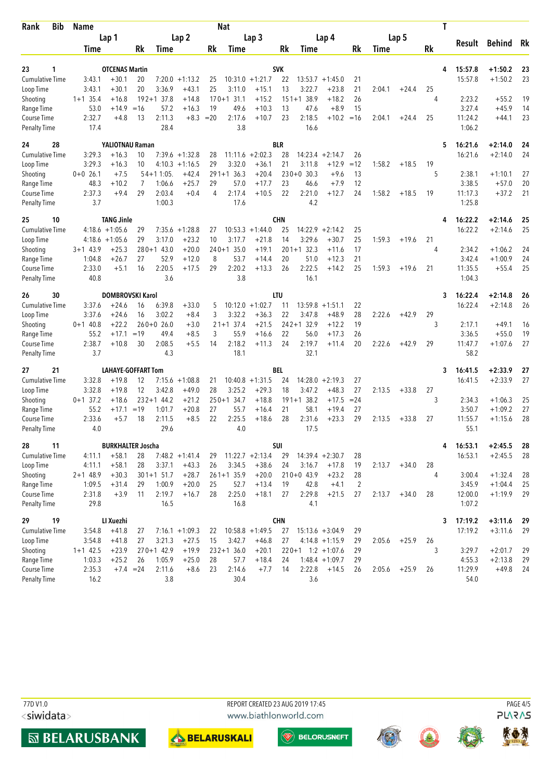| Bib<br>Rank                        | <b>Name</b>   |                           |             |                |                   |        | <b>Nat</b>     |                    |            |                     |                    |                |        |         |    | Τ               |               |    |
|------------------------------------|---------------|---------------------------|-------------|----------------|-------------------|--------|----------------|--------------------|------------|---------------------|--------------------|----------------|--------|---------|----|-----------------|---------------|----|
|                                    |               | Lap 1                     |             |                | Lap <sub>2</sub>  |        |                | Lap <sub>3</sub>   |            |                     | Lap 4              |                |        | Lap 5   |    |                 |               |    |
|                                    | Time          |                           | Rk          | Time           |                   | Rk     | Time           |                    | Rk         | Time                |                    | Rk             | Time   |         | Rk | Result          | <b>Behind</b> | Rk |
| 23<br>1                            |               | <b>OTCENAS Martin</b>     |             |                |                   |        |                |                    | <b>SVK</b> |                     |                    |                |        |         |    | 15:57.8<br>4    | $+1:50.2$     | 23 |
| <b>Cumulative Time</b>             | 3:43.1        | $+30.1$                   | 20          |                | $7:20.0 + 1:13.2$ | 25     |                | $10:31.0 + 1:21.7$ | 22         |                     | $13:53.7 + 1:45.0$ | 21             |        |         |    | 15:57.8         | $+1:50.2$     | 23 |
| Loop Time                          | 3:43.1        | $+30.1$                   | 20          | 3:36.9         | $+43.1$           | 25     | 3:11.0         | $+15.1$            | 13         | 3:22.7              | $+23.8$            | 21             | 2:04.1 | $+24.4$ | 25 |                 |               |    |
| Shooting                           | $1+1$ 35.4    | $+16.8$                   |             | $192+1$ 37.8   | $+14.8$           |        | $170 + 131.1$  | $+15.2$            |            | $151+138.9$         | $+18.2$            | 26             |        |         | 4  | 2:23.2          | $+55.2$       | 19 |
| Range Time                         | 53.0          | $+14.9$                   | $=16$       | 57.2           | $+16.3$           | 19     | 49.6           | $+10.3$            | 13         | 47.6                | $+8.9$             | 15             |        |         |    | 3:27.4          | $+45.9$       | 14 |
| Course Time                        | 2:32.7        | $+4.8$                    | 13          | 2:11.3         | $+8.3$            | $= 20$ | 2:17.6         | $+10.7$            | 23         | 2:18.5              | $+10.2$            | $=16$          | 2:04.1 | $+24.4$ | 25 | 11:24.2         | $+44.1$       | 23 |
| <b>Penalty Time</b>                | 17.4          |                           |             | 28.4           |                   |        | 3.8            |                    |            | 16.6                |                    |                |        |         |    | 1:06.2          |               |    |
| 28<br>24                           |               | YALIOTNAU Raman           |             |                |                   |        |                |                    | <b>BLR</b> |                     |                    |                |        |         |    | 16:21.6<br>5    | $+2:14.0$     | 24 |
| <b>Cumulative Time</b>             | 3:29.3        | $+16.3$                   | 10          |                | $7:39.6 + 1:32.8$ | 28     | 11:11.6        | $+2:02.3$          | 28         | 14:23.4             | $+2:14.7$          | 26             |        |         |    | 16:21.6         | $+2:14.0$     | 24 |
| Loop Time                          | 3:29.3        | $+16.3$                   | 10          |                | $4:10.3 +1:16.5$  | 29     | 3:32.0         | $+36.1$            | 21         | 3:11.8              | $+12.9$            | $=12$          | 1:58.2 | $+18.5$ | 19 |                 |               |    |
| Shooting                           | $0+0$ 26.1    | $+7.5$                    |             | $54+11:05$ .   | $+42.4$           |        | $291+1$ 36.3   | $+20.4$            |            | $230+0$ 30.3        | $+9.6$             | 13             |        |         | 5  | 2:38.1          | $+1:10.1$     | 27 |
| Range Time                         | 48.3          | $+10.2$                   | 7           | 1:06.6         | $+25.7$           | 29     | 57.0           | $+17.7$            | 23         | 46.6                | $+7.9$             | 12             |        |         |    | 3:38.5          | $+57.0$       | 20 |
| Course Time                        | 2:37.3        | $+9.4$                    | 29          | 2:03.4         | $+0.4$            | 4      | 2:17.4         | $+10.5$            | 22         | 2:21.0              | $+12.7$            | 24             | 1:58.2 | $+18.5$ | 19 | 11:17.3         | $+37.2$       | 21 |
| Penalty Time                       | 3.7           |                           |             | 1:00.3         |                   |        | 17.6           |                    |            | 4.2                 |                    |                |        |         |    | 1:25.8          |               |    |
| 25<br>10                           |               | <b>TANG Jinle</b>         |             |                |                   |        |                |                    | <b>CHN</b> |                     |                    |                |        |         |    | 16:22.2         | $+2:14.6$     | 25 |
| <b>Cumulative Time</b>             |               | $4:18.6 + 1:05.6$         | 29          | 7:35.6         | $+1:28.8$         | 27     | 10:53.3        | $+1:44.0$          | 25         | 14:22.9             | $+2:14.2$          | 25             |        |         |    | 16:22.2         | $+2:14.6$     | 25 |
| Loop Time                          |               | $4:18.6 + 1:05.6$         | 29          | 3:17.0         | $+23.2$           | 10     | 3:17.7         | $+21.8$            | 14         | 3:29.6              | $+30.7$            | 25             | 1:59.3 | $+19.6$ | 21 |                 |               |    |
| Shooting                           | $3+1$ 43.9    | $+25.3$                   |             | $280 + 1$ 43.0 | $+20.0$           |        | $240+1$ 35.0   | $+19.1$            |            | $201+1$ 32.3        | $+11.6$            | 17             |        |         | 4  | 2:34.2          | $+1:06.2$     | 24 |
| Range Time                         | 1:04.8        | $+26.7$                   | 27          | 52.9           | $+12.0$           | 8      | 53.7           | $+14.4$            | 20         | 51.0                | $+12.3$            | 21             |        |         |    | 3:42.4          | $+1:00.9$     | 24 |
| Course Time                        | 2:33.0        | $+5.1$                    | 16          | 2:20.5         | $+17.5$           | 29     | 2:20.2         | $+13.3$            | 26         | 2:22.5              | $+14.2$            | 25             | 1:59.3 | $+19.6$ | 21 | 11:35.5         | $+55.4$       | 25 |
| <b>Penalty Time</b>                | 40.8          |                           |             | 3.6            |                   |        | 3.8            |                    |            | 16.1                |                    |                |        |         |    | 1:04.3          |               |    |
| 26<br>30                           |               | DOMBROVSKI Karol          |             |                |                   |        |                |                    | LTU        |                     |                    |                |        |         |    | 16:22.4<br>3    | $+2:14.8$     | 26 |
| <b>Cumulative Time</b>             | 3:37.6        | $+24.6$                   | 16          | 6:39.8         | $+33.0$           | 5      |                | $10:12.0 + 1:02.7$ | 11         | 13:59.8             | $+1:51.1$          | 22             |        |         |    | 16:22.4         | $+2:14.8$     | 26 |
| Loop Time                          | 3:37.6        | $+24.6$                   | 16          | 3:02.2         | $+8.4$            | 3      | 3:32.2         | $+36.3$            | 22         | 3:47.8              | $+48.9$            | 28             | 2:22.6 | $+42.9$ | 29 |                 |               |    |
| Shooting                           | $0+1$ 40.8    | $+22.2$                   |             | $260+0$ 26.0   | $+3.0$            |        | $21+1$ 37.4    | $+21.5$            |            | $242+1$ 32.9        | $+12.2$            | 19             |        |         | 3  | 2:17.1          | $+49.1$       | 16 |
| Range Time                         | 55.2          | $+17.1$                   | $=19$       | 49.4           | $+8.5$            | 3      | 55.9           | $+16.6$            | 22         | 56.0                | $+17.3$            | 26             |        |         |    | 3:36.5          | $+55.0$       | 19 |
| Course Time                        | 2:38.7        | $+10.8$                   | 30          | 2:08.5         | $+5.5$            | 14     | 2:18.2         | $+11.3$            | 24         | 2:19.7              | $+11.4$            | 20             | 2:22.6 | $+42.9$ | 29 | 11:47.7         | $+1:07.6$     | 27 |
| <b>Penalty Time</b>                | 3.7           |                           |             | 4.3            |                   |        | 18.1           |                    |            | 32.1                |                    |                |        |         |    | 58.2            |               |    |
| 21<br>27                           |               | <b>LAHAYE-GOFFART Tom</b> |             |                |                   |        |                |                    | BEL        |                     |                    |                |        |         |    | 16:41.5<br>3    | $+2:33.9$     | 27 |
| <b>Cumulative Time</b>             | 3:32.8        | $+19.8$                   | 12          |                | $7:15.6 + 1:08.8$ | 21     |                | $10:40.8 + 1:31.5$ | 24         | 14:28.0             | $+2:19.3$          | 27             |        |         |    | 16:41.5         | $+2:33.9$     | 27 |
| Loop Time                          | 3:32.8        | $+19.8$                   | 12          | 3:42.8         | $+49.0$           | 28     | 3:25.2         | $+29.3$            | 18         | 3:47.2              | $+48.3$            | 27             | 2:13.5 | $+33.8$ | 27 |                 |               |    |
| Shooting                           | $0+1$ 37.2    | $+18.6$                   |             | $232+1$ 44.2   | $+21.2$           |        | $250+1$ 34.7   | $+18.8$            |            | $191+1$ 38.2        | $+17.5$            | $= 24$         |        |         | 3  | 2:34.3          | $+1:06.3$     | 25 |
| Range Time                         | 55.2          | $+17.1$                   | $=19$       | 1:01.7         | $+20.8$           | 27     | 55.7<br>2:25.5 | $+16.4$            | 21<br>28   | 58.1                | $+19.4$            | 27<br>29       |        |         |    | 3:50.7          | $+1:09.2$     | 27 |
| Course Time<br><b>Penalty Time</b> | 2:33.6<br>4.0 | $+5.7$                    | 18          | 2:11.5<br>29.6 | $+8.5$            | 22     | 4.0            | $+18.6$            |            | 2:31.6<br>17.5      | $+23.3$            |                | 2:13.5 | $+33.8$ | 27 | 11:55.7<br>55.1 | $+1:15.6$     | 28 |
| 11                                 |               | <b>BURKHALTER Joscha</b>  |             |                |                   |        |                |                    | SUI        |                     |                    |                |        |         |    | 16:53.1         | $+2:45.5$     | 28 |
| 28<br><b>Cumulative Time</b>       | 4:11.1        | $+58.1$                   | 28          |                | $7:48.2 + 1:41.4$ | 29     |                | $11:22.7 + 2:13.4$ | 29         | $14:39.4 +2:30.7$   |                    | 28             |        |         |    | 4<br>16:53.1    | $+2:45.5$     | 28 |
| Loop Time                          | 4:11.1        | $+58.1$                   | 28          | 3:37.1         | $+43.3$           | 26     | 3:34.5         | $+38.6$            | 24         | 3:16.7              | $+17.8$            | 19             | 2:13.7 | $+34.0$ | 28 |                 |               |    |
| Shooting                           | $2+1$ 48.9    | $+30.3$                   |             | $301+1$ 51.7   | $+28.7$           |        | $261+135.9$    | $+20.0$            |            | $210+0$ 43.9        | $+23.2$            | 28             |        |         | 4  | 3:00.4          | $+1:32.4$     | 28 |
| Range Time                         | 1:09.5        | $+31.4$                   | 29          | 1:00.9         | $+20.0$           | 25     | 52.7           | $+13.4$            | 19         | 42.8                | $+4.1$             | $\overline{2}$ |        |         |    | 3:45.9          | $+1:04.4$     | 25 |
| Course Time                        | 2:31.8        | $+3.9$                    | 11          | 2:19.7         | $+16.7$           | 28     | 2:25.0         | $+18.1$            | 27         | 2:29.8              | $+21.5$            | 27             | 2:13.7 | $+34.0$ | 28 | 12:00.0         | $+1:19.9$     | 29 |
| <b>Penalty Time</b>                | 29.8          |                           |             | 16.5           |                   |        | 16.8           |                    |            | 4.1                 |                    |                |        |         |    | 1:07.2          |               |    |
| 19<br>29                           |               | LI Xuezhi                 |             |                |                   |        |                |                    | <b>CHN</b> |                     |                    |                |        |         |    | 17:19.2<br>3    | $+3:11.6$     | 29 |
| Cumulative Time                    | 3:54.8        | $+41.8$                   | 27          |                | $7:16.1 + 1:09.3$ | 22     |                | $10:58.8 + 1:49.5$ | 27         | $15:13.6 + 3:04.9$  |                    | 29             |        |         |    | 17:19.2         | $+3:11.6$     | 29 |
| Loop Time                          | 3:54.8        | $+41.8$                   | 27          | 3:21.3         | $+27.5$           | 15     | 3:42.7         | $+46.8$            | 27         |                     | $4:14.8 +1:15.9$   | 29             | 2:05.6 | $+25.9$ | 26 |                 |               |    |
| Shooting                           | $1+1$ 42.5    | $+23.9$                   |             | $270+1$ 42.9   | $+19.9$           |        | $232+136.0$    | $+20.1$            |            | $220+1$ 1:2 +1:07.6 |                    | 29             |        |         | 3  | 3:29.7          | $+2:01.7$     | 29 |
| Range Time                         | 1:03.3        | $+25.2$                   | 26          | 1:05.9         | $+25.0$           | 28     | 57.7           | $+18.4$            | 24         |                     | $1:48.4 + 1:09.7$  | 29             |        |         |    | 4:55.3          | $+2:13.8$     | 29 |
| Course Time                        | 2:35.3        |                           | $+7.4 = 24$ | 2:11.6         | $+8.6$            | 23     | 2:14.6         | $+7.7$             | 14         | 2:22.8              | $+14.5$            | 26             | 2:05.6 | $+25.9$ | 26 | 11:29.9         | $+49.8$       | 24 |
| Penalty Time                       | 16.2          |                           |             | 3.8            |                   |        | 30.4           |                    |            | 3.6                 |                    |                |        |         |    | 54.0            |               |    |

77D V1.0 <siwidata> REPORT CREATED 23 AUG 2019 17:45 www.biathlonworld.com





 $\overline{\textcircled{\tiny{\textsf{W}}}}$  BELORUSNEFT







PAGE 4/5